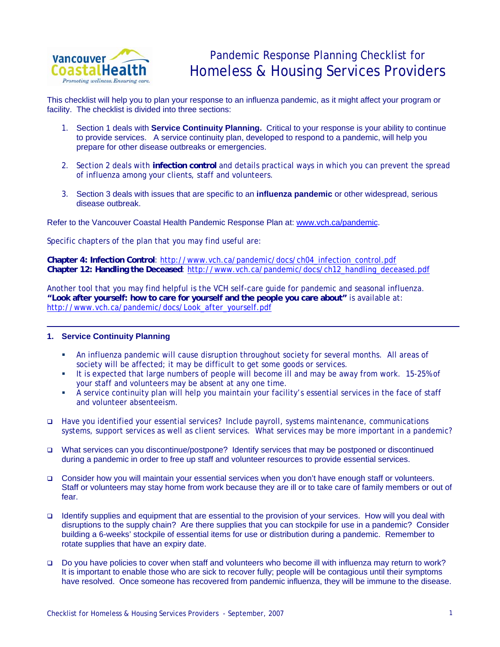

## Pandemic Response Planning Checklist for Homeless & Housing Services Providers

This checklist will help you to plan your response to an influenza pandemic, as it might affect your program or facility. The checklist is divided into three sections:

- 1. Section 1 deals with **Service Continuity Planning.** Critical to your response is your ability to continue to provide services. A service continuity plan, developed to respond to a pandemic, will help you prepare for other disease outbreaks or emergencies.
- 2. Section 2 deals with **infection control** and details practical ways in which you can prevent the spread of influenza among your clients, staff and volunteers.
- 3. Section 3 deals with issues that are specific to an **influenza pandemic** or other widespread, serious disease outbreak.

Refer to the Vancouver Coastal Health Pandemic Response Plan at: [www.vch.ca/pandemic.](http://www.vch.ca/pandemic)

Specific chapters of the plan that you may find useful are:

**Chapter 4: Infection Control**: http://www.vch.ca/pandemic/docs/ch04\_infection\_control.pdf **Chapter 12: Handling the Deceased**: [http://www.vch.ca/pandemic/docs/ch12\\_handling\\_deceased.pdf](http://www.vch.ca/pandemic/docs/ch12_handling_deceased.pdf)

Another tool that you may find helpful is the VCH self-care guide for pandemic and seasonal influenza. **"Look after yourself: how to care for yourself and the people you care about"** is available at: [http://www.vch.ca/pandemic/docs/Look\\_after\\_yourself.pdf](http://www.vch.ca/pandemic/docs/Look_after_yourself.pdf)

## **1. Service Continuity Planning**

- An influenza pandemic will cause disruption throughout society for several months. All areas of society will be affected; it may be difficult to get some goods or services.
- It is expected that large numbers of people will become ill and may be away from work. 15-25% of your staff and volunteers may be absent at any one time.
- A service continuity plan will help you maintain your facility's essential services in the face of staff and volunteer absenteeism.
- Have you identified your essential services? Include payroll, systems maintenance, communications systems, support services as well as client services. What services may be more important in a pandemic?
- What services can you discontinue/postpone? Identify services that may be postponed or discontinued during a pandemic in order to free up staff and volunteer resources to provide essential services.
- Consider how you will maintain your essential services when you don't have enough staff or volunteers. Staff or volunteers may stay home from work because they are ill or to take care of family members or out of fear.
- Identify supplies and equipment that are essential to the provision of your services. How will you deal with disruptions to the supply chain? Are there supplies that you can stockpile for use in a pandemic? Consider building a 6-weeks' stockpile of essential items for use or distribution during a pandemic. Remember to rotate supplies that have an expiry date.
- Do you have policies to cover when staff and volunteers who become ill with influenza may return to work? It is important to enable those who are sick to recover fully; people will be contagious until their symptoms have resolved. Once someone has recovered from pandemic influenza, they will be immune to the disease.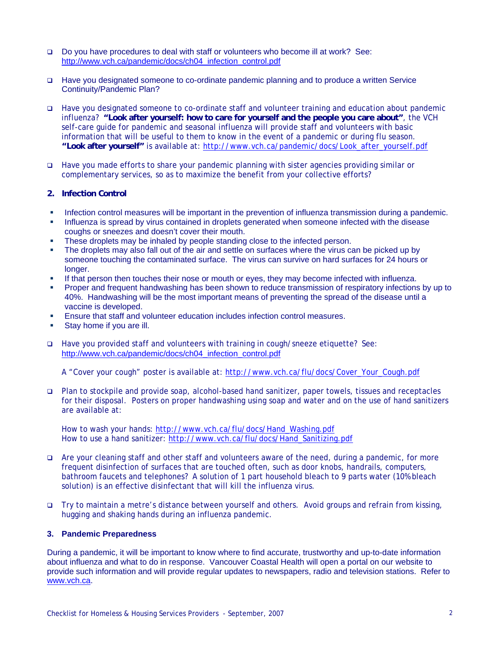- Do you have procedures to deal with staff or volunteers who become ill at work? See: [http://www.vch.ca/pandemic/docs/ch04\\_infection\\_control.pdf](http://www.vch.ca/pandemic/docs/ch04_infection_control.pdf)
- Have you designated someone to co-ordinate pandemic planning and to produce a written Service Continuity/Pandemic Plan?
- Have you designated someone to co-ordinate staff and volunteer training and education about pandemic influenza? **"Look after yourself: how to care for yourself and the people you care about"**, the VCH self-care guide for pandemic and seasonal influenza will provide staff and volunteers with basic information that will be useful to them to know in the event of a pandemic or during flu season. **"Look after yourself"** is available at: [http://www.vch.ca/pandemic/docs/Look\\_after\\_yourself.pdf](http://www.vch.ca/pandemic/docs/Look_after_yourself.pdf)
- Have you made efforts to share your pandemic planning with sister agencies providing similar or complementary services, so as to maximize the benefit from your collective efforts?
- **2. Infection Control**
- **Infection control measures will be important in the prevention of influenza transmission during a pandemic.**
- **Influenza is spread by virus contained in droplets generated when someone infected with the disease** coughs or sneezes and doesn't cover their mouth.
- **These droplets may be inhaled by people standing close to the infected person.**
- The droplets may also fall out of the air and settle on surfaces where the virus can be picked up by someone touching the contaminated surface. The virus can survive on hard surfaces for 24 hours or longer.
- If that person then touches their nose or mouth or eyes, they may become infected with influenza.
- Proper and frequent handwashing has been shown to reduce transmission of respiratory infections by up to 40%. Handwashing will be the most important means of preventing the spread of the disease until a vaccine is developed.
- Ensure that staff and volunteer education includes infection control measures.
- Stay home if you are ill.
- Have you provided staff and volunteers with training in cough/sneeze etiquette? See: [http://www.vch.ca/pandemic/docs/ch04\\_infection\\_control.pdf](http://www.vch.ca/pandemic/docs/ch04_infection_control.pdf)

A "Cover your cough" poster is available at: [http://www.vch.ca/flu/docs/Cover\\_Your\\_Cough.pdf](http://www.vch.ca/flu/docs/Cover_Your_Cough.pdf)

 Plan to stockpile and provide soap, alcohol-based hand sanitizer, paper towels, tissues and receptacles for their disposal. Posters on proper handwashing using soap and water and on the use of hand sanitizers are available at:

How to wash your hands: [http://www.vch.ca/flu/docs/Hand\\_Washing.pdf](http://www.vch.ca/flu/docs/Hand_Washing.pdf) How to use a hand sanitizer: [http://www.vch.ca/flu/docs/Hand\\_Sanitizing.pdf](http://www.vch.ca/flu/docs/Hand_Sanitizing.pdf)

- Are your cleaning staff and other staff and volunteers aware of the need, during a pandemic, for more frequent disinfection of surfaces that are touched often, such as door knobs, handrails, computers, bathroom faucets and telephones? A solution of 1 part household bleach to 9 parts water (10% bleach solution) is an effective disinfectant that will kill the influenza virus.
- Try to maintain a metre's distance between yourself and others. Avoid groups and refrain from kissing, hugging and shaking hands during an influenza pandemic.

## **3. Pandemic Preparedness**

During a pandemic, it will be important to know where to find accurate, trustworthy and up-to-date information about influenza and what to do in response. Vancouver Coastal Health will open a portal on our website to provide such information and will provide regular updates to newspapers, radio and television stations. Refer to [www.vch.ca.](http://www.vch.ca/)